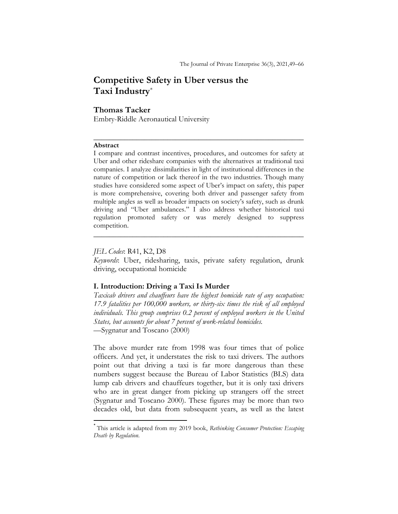# Competitive Safety in Uber versus the Taxi Industry\*

### Thomas Tacker

Embry-Riddle Aeronautical University

### Abstract

I compare and contrast incentives, procedures, and outcomes for safety at Uber and other rideshare companies with the alternatives at traditional taxi companies. I analyze dissimilarities in light of institutional differences in the nature of competition or lack thereof in the two industries. Though many studies have considered some aspect of Uber's impact on safety, this paper is more comprehensive, covering both driver and passenger safety from multiple angles as well as broader impacts on society's safety, such as drunk driving and "Uber ambulances." I also address whether historical taxi regulation promoted safety or was merely designed to suppress competition.

 $\frac{1}{2}$  ,  $\frac{1}{2}$  ,  $\frac{1}{2}$  ,  $\frac{1}{2}$  ,  $\frac{1}{2}$  ,  $\frac{1}{2}$  ,  $\frac{1}{2}$  ,  $\frac{1}{2}$  ,  $\frac{1}{2}$  ,  $\frac{1}{2}$  ,  $\frac{1}{2}$  ,  $\frac{1}{2}$  ,  $\frac{1}{2}$  ,  $\frac{1}{2}$  ,  $\frac{1}{2}$  ,  $\frac{1}{2}$  ,  $\frac{1}{2}$  ,  $\frac{1}{2}$  ,  $\frac{1$ 

### JEL Codes: R41, K2, D8

Keywords: Uber, ridesharing, taxis, private safety regulation, drunk driving, occupational homicide

 $\frac{1}{2}$  ,  $\frac{1}{2}$  ,  $\frac{1}{2}$  ,  $\frac{1}{2}$  ,  $\frac{1}{2}$  ,  $\frac{1}{2}$  ,  $\frac{1}{2}$  ,  $\frac{1}{2}$  ,  $\frac{1}{2}$  ,  $\frac{1}{2}$  ,  $\frac{1}{2}$  ,  $\frac{1}{2}$  ,  $\frac{1}{2}$  ,  $\frac{1}{2}$  ,  $\frac{1}{2}$  ,  $\frac{1}{2}$  ,  $\frac{1}{2}$  ,  $\frac{1}{2}$  ,  $\frac{1$ 

## I. Introduction: Driving a Taxi Is Murder

Taxicab drivers and chauffeurs have the highest homicide rate of any occupation: 17.9 fatalities per 100,000 workers, or thirty-six times the risk of all employed individuals. This group comprises 0.2 percent of employed workers in the United States, but accounts for about 7 percent of work-related homicides. —Sygnatur and Toscano (2000)

The above murder rate from 1998 was four times that of police officers. And yet, it understates the risk to taxi drivers. The authors point out that driving a taxi is far more dangerous than these numbers suggest because the Bureau of Labor Statistics (BLS) data lump cab drivers and chauffeurs together, but it is only taxi drivers who are in great danger from picking up strangers off the street (Sygnatur and Toscano 2000). These figures may be more than two decades old, but data from subsequent years, as well as the latest

<sup>\*</sup> This article is adapted from my 2019 book, Rethinking Consumer Protection: Escaping Death by Regulation.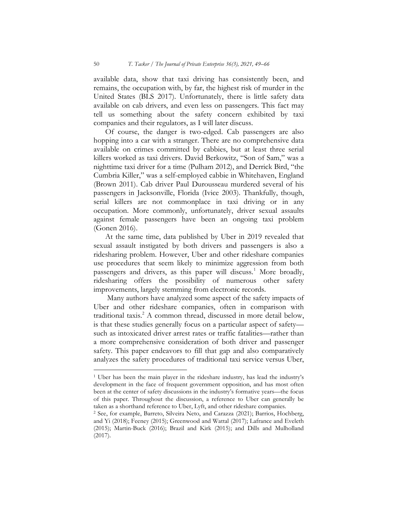available data, show that taxi driving has consistently been, and remains, the occupation with, by far, the highest risk of murder in the United States (BLS 2017). Unfortunately, there is little safety data available on cab drivers, and even less on passengers. This fact may tell us something about the safety concern exhibited by taxi companies and their regulators, as I will later discuss.

Of course, the danger is two-edged. Cab passengers are also hopping into a car with a stranger. There are no comprehensive data available on crimes committed by cabbies, but at least three serial killers worked as taxi drivers. David Berkowitz, "Son of Sam," was a nighttime taxi driver for a time (Pulham 2012), and Derrick Bird, "the Cumbria Killer," was a self-employed cabbie in Whitehaven, England (Brown 2011). Cab driver Paul Durousseau murdered several of his passengers in Jacksonville, Florida (Ivice 2003). Thankfully, though, serial killers are not commonplace in taxi driving or in any occupation. More commonly, unfortunately, driver sexual assaults against female passengers have been an ongoing taxi problem (Gonen 2016).

At the same time, data published by Uber in 2019 revealed that sexual assault instigated by both drivers and passengers is also a ridesharing problem. However, Uber and other rideshare companies use procedures that seem likely to minimize aggression from both passengers and drivers, as this paper will discuss.<sup>1</sup> More broadly, ridesharing offers the possibility of numerous other safety improvements, largely stemming from electronic records.

 Many authors have analyzed some aspect of the safety impacts of Uber and other rideshare companies, often in comparison with traditional taxis.<sup>2</sup> A common thread, discussed in more detail below, is that these studies generally focus on a particular aspect of safety such as intoxicated driver arrest rates or traffic fatalities—rather than a more comprehensive consideration of both driver and passenger safety. This paper endeavors to fill that gap and also comparatively analyzes the safety procedures of traditional taxi service versus Uber,

<sup>&</sup>lt;sup>1</sup> Uber has been the main player in the rideshare industry, has lead the industry's development in the face of frequent government opposition, and has most often been at the center of safety discussions in the industry's formative years—the focus of this paper. Throughout the discussion, a reference to Uber can generally be taken as a shorthand reference to Uber, Lyft, and other rideshare companies.

<sup>2</sup> See, for example, Barreto, Silveira Neto, and Carazza (2021); Barrios, Hochberg, and Yi (2018); Feeney (2015); Greenwood and Wattal (2017); Lafrance and Eveleth (2015); Martin-Buck (2016); Brazil and Kirk (2015); and Dills and Mulholland (2017).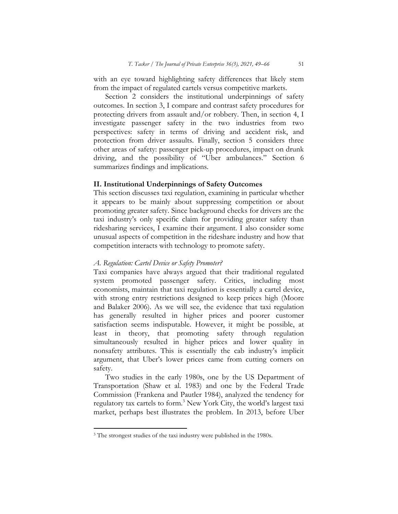with an eye toward highlighting safety differences that likely stem from the impact of regulated cartels versus competitive markets.

Section 2 considers the institutional underpinnings of safety outcomes. In section 3, I compare and contrast safety procedures for protecting drivers from assault and/or robbery. Then, in section 4, I investigate passenger safety in the two industries from two perspectives: safety in terms of driving and accident risk, and protection from driver assaults. Finally, section 5 considers three other areas of safety: passenger pick-up procedures, impact on drunk driving, and the possibility of "Uber ambulances." Section 6 summarizes findings and implications.

### II. Institutional Underpinnings of Safety Outcomes

This section discusses taxi regulation, examining in particular whether it appears to be mainly about suppressing competition or about promoting greater safety. Since background checks for drivers are the taxi industry's only specific claim for providing greater safety than ridesharing services, I examine their argument. I also consider some unusual aspects of competition in the rideshare industry and how that competition interacts with technology to promote safety.

### A. Regulation: Cartel Device or Safety Promoter?

Taxi companies have always argued that their traditional regulated system promoted passenger safety. Critics, including most economists, maintain that taxi regulation is essentially a cartel device, with strong entry restrictions designed to keep prices high (Moore and Balaker 2006). As we will see, the evidence that taxi regulation has generally resulted in higher prices and poorer customer satisfaction seems indisputable. However, it might be possible, at least in theory, that promoting safety through regulation simultaneously resulted in higher prices and lower quality in nonsafety attributes. This is essentially the cab industry's implicit argument, that Uber's lower prices came from cutting corners on safety.

Two studies in the early 1980s, one by the US Department of Transportation (Shaw et al. 1983) and one by the Federal Trade Commission (Frankena and Pautler 1984), analyzed the tendency for regulatory tax cartels to form.<sup>3</sup> New York City, the world's largest taxi market, perhaps best illustrates the problem. In 2013, before Uber

<sup>&</sup>lt;sup>3</sup> The strongest studies of the taxi industry were published in the 1980s.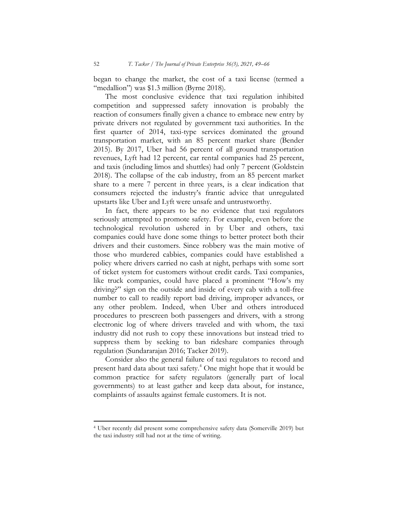began to change the market, the cost of a taxi license (termed a "medallion") was \$1.3 million (Byrne 2018).

The most conclusive evidence that taxi regulation inhibited competition and suppressed safety innovation is probably the reaction of consumers finally given a chance to embrace new entry by private drivers not regulated by government taxi authorities. In the first quarter of 2014, taxi-type services dominated the ground transportation market, with an 85 percent market share (Bender 2015). By 2017, Uber had 56 percent of all ground transportation revenues, Lyft had 12 percent, car rental companies had 25 percent, and taxis (including limos and shuttles) had only 7 percent (Goldstein 2018). The collapse of the cab industry, from an 85 percent market share to a mere 7 percent in three years, is a clear indication that consumers rejected the industry's frantic advice that unregulated upstarts like Uber and Lyft were unsafe and untrustworthy.

In fact, there appears to be no evidence that taxi regulators seriously attempted to promote safety. For example, even before the technological revolution ushered in by Uber and others, taxi companies could have done some things to better protect both their drivers and their customers. Since robbery was the main motive of those who murdered cabbies, companies could have established a policy where drivers carried no cash at night, perhaps with some sort of ticket system for customers without credit cards. Taxi companies, like truck companies, could have placed a prominent "How's my driving?" sign on the outside and inside of every cab with a toll-free number to call to readily report bad driving, improper advances, or any other problem. Indeed, when Uber and others introduced procedures to prescreen both passengers and drivers, with a strong electronic log of where drivers traveled and with whom, the taxi industry did not rush to copy these innovations but instead tried to suppress them by seeking to ban rideshare companies through regulation (Sundararajan 2016; Tacker 2019).

Consider also the general failure of taxi regulators to record and present hard data about taxi safety.<sup>4</sup> One might hope that it would be common practice for safety regulators (generally part of local governments) to at least gather and keep data about, for instance, complaints of assaults against female customers. It is not.

 $\overline{a}$ 

<sup>4</sup> Uber recently did present some comprehensive safety data (Somerville 2019) but the taxi industry still had not at the time of writing.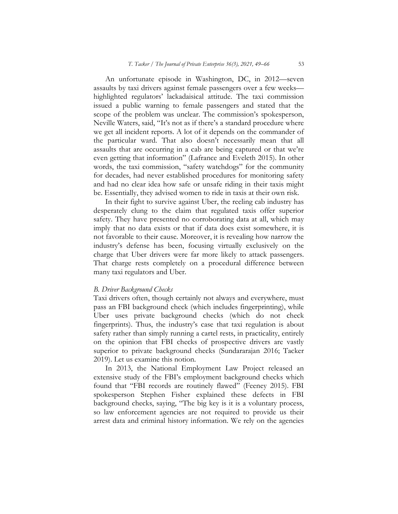An unfortunate episode in Washington, DC, in 2012—seven assaults by taxi drivers against female passengers over a few weeks highlighted regulators' lackadaisical attitude. The taxi commission issued a public warning to female passengers and stated that the scope of the problem was unclear. The commission's spokesperson, Neville Waters, said, "It's not as if there's a standard procedure where we get all incident reports. A lot of it depends on the commander of the particular ward. That also doesn't necessarily mean that all assaults that are occurring in a cab are being captured or that we're even getting that information" (Lafrance and Eveleth 2015). In other words, the taxi commission, "safety watchdogs" for the community for decades, had never established procedures for monitoring safety and had no clear idea how safe or unsafe riding in their taxis might be. Essentially, they advised women to ride in taxis at their own risk.

In their fight to survive against Uber, the reeling cab industry has desperately clung to the claim that regulated taxis offer superior safety. They have presented no corroborating data at all, which may imply that no data exists or that if data does exist somewhere, it is not favorable to their cause. Moreover, it is revealing how narrow the industry's defense has been, focusing virtually exclusively on the charge that Uber drivers were far more likely to attack passengers. That charge rests completely on a procedural difference between many taxi regulators and Uber.

#### B. Driver Background Checks

Taxi drivers often, though certainly not always and everywhere, must pass an FBI background check (which includes fingerprinting), while Uber uses private background checks (which do not check fingerprints). Thus, the industry's case that taxi regulation is about safety rather than simply running a cartel rests, in practicality, entirely on the opinion that FBI checks of prospective drivers are vastly superior to private background checks (Sundararajan 2016; Tacker 2019). Let us examine this notion.

In 2013, the National Employment Law Project released an extensive study of the FBI's employment background checks which found that "FBI records are routinely flawed" (Feeney 2015). FBI spokesperson Stephen Fisher explained these defects in FBI background checks, saying, "The big key is it is a voluntary process, so law enforcement agencies are not required to provide us their arrest data and criminal history information. We rely on the agencies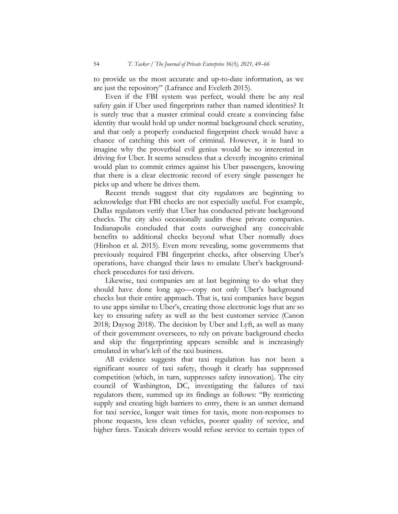to provide us the most accurate and up-to-date information, as we are just the repository" (Lafrance and Eveleth 2015).

Even if the FBI system was perfect, would there be any real safety gain if Uber used fingerprints rather than named identities? It is surely true that a master criminal could create a convincing false identity that would hold up under normal background check scrutiny, and that only a properly conducted fingerprint check would have a chance of catching this sort of criminal. However, it is hard to imagine why the proverbial evil genius would be so interested in driving for Uber. It seems senseless that a cleverly incognito criminal would plan to commit crimes against his Uber passengers, knowing that there is a clear electronic record of every single passenger he picks up and where he drives them.

Recent trends suggest that city regulators are beginning to acknowledge that FBI checks are not especially useful. For example, Dallas regulators verify that Uber has conducted private background checks. The city also occasionally audits these private companies. Indianapolis concluded that costs outweighed any conceivable benefits to additional checks beyond what Uber normally does (Hirshon et al. 2015). Even more revealing, some governments that previously required FBI fingerprint checks, after observing Uber's operations, have changed their laws to emulate Uber's backgroundcheck procedures for taxi drivers.

Likewise, taxi companies are at last beginning to do what they should have done long ago—copy not only Uber's background checks but their entire approach. That is, taxi companies have begun to use apps similar to Uber's, creating those electronic logs that are so key to ensuring safety as well as the best customer service (Canon 2018; Daysog  $2018$ ). The decision by Uber and Lyft, as well as many of their government overseers, to rely on private background checks and skip the fingerprinting appears sensible and is increasingly emulated in what's left of the taxi business.

All evidence suggests that taxi regulation has not been a significant source of taxi safety, though it clearly has suppressed competition (which, in turn, suppresses safety innovation). The city council of Washington, DC, investigating the failures of taxi regulators there, summed up its findings as follows: "By restricting supply and creating high barriers to entry, there is an unmet demand for taxi service, longer wait times for taxis, more non-responses to phone requests, less clean vehicles, poorer quality of service, and higher fares. Taxicab drivers would refuse service to certain types of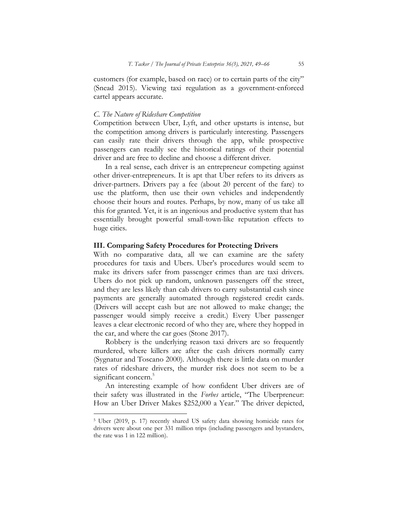customers (for example, based on race) or to certain parts of the city" (Snead 2015). Viewing taxi regulation as a government-enforced cartel appears accurate.

#### C. The Nature of Rideshare Competition

Competition between Uber, Lyft, and other upstarts is intense, but the competition among drivers is particularly interesting. Passengers can easily rate their drivers through the app, while prospective passengers can readily see the historical ratings of their potential driver and are free to decline and choose a different driver.

In a real sense, each driver is an entrepreneur competing against other driver-entrepreneurs. It is apt that Uber refers to its drivers as driver-partners. Drivers pay a fee (about 20 percent of the fare) to use the platform, then use their own vehicles and independently choose their hours and routes. Perhaps, by now, many of us take all this for granted. Yet, it is an ingenious and productive system that has essentially brought powerful small-town-like reputation effects to huge cities.

### III. Comparing Safety Procedures for Protecting Drivers

With no comparative data, all we can examine are the safety procedures for taxis and Ubers. Uber's procedures would seem to make its drivers safer from passenger crimes than are taxi drivers. Ubers do not pick up random, unknown passengers off the street, and they are less likely than cab drivers to carry substantial cash since payments are generally automated through registered credit cards. (Drivers will accept cash but are not allowed to make change; the passenger would simply receive a credit.) Every Uber passenger leaves a clear electronic record of who they are, where they hopped in the car, and where the car goes (Stone 2017).

Robbery is the underlying reason taxi drivers are so frequently murdered, where killers are after the cash drivers normally carry (Sygnatur and Toscano 2000). Although there is little data on murder rates of rideshare drivers, the murder risk does not seem to be a significant concern.<sup>5</sup>

An interesting example of how confident Uber drivers are of their safety was illustrated in the Forbes article, "The Uberpreneur: How an Uber Driver Makes \$252,000 a Year." The driver depicted,

 $\overline{a}$ 

<sup>5</sup> Uber (2019, p. 17) recently shared US safety data showing homicide rates for drivers were about one per 331 million trips (including passengers and bystanders, the rate was 1 in 122 million).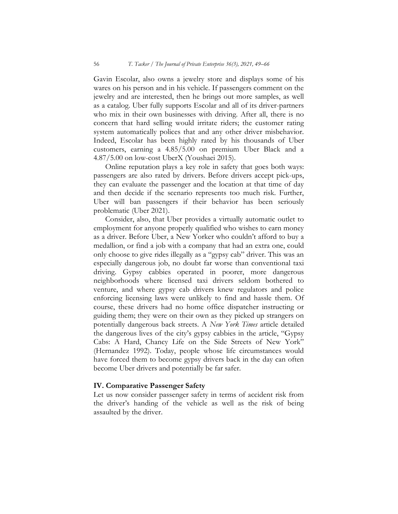Gavin Escolar, also owns a jewelry store and displays some of his wares on his person and in his vehicle. If passengers comment on the jewelry and are interested, then he brings out more samples, as well as a catalog. Uber fully supports Escolar and all of its driver-partners who mix in their own businesses with driving. After all, there is no concern that hard selling would irritate riders; the customer rating system automatically polices that and any other driver misbehavior. Indeed, Escolar has been highly rated by his thousands of Uber customers, earning a 4.85/5.00 on premium Uber Black and a 4.87/5.00 on low-cost UberX (Youshaei 2015).

Online reputation plays a key role in safety that goes both ways: passengers are also rated by drivers. Before drivers accept pick-ups, they can evaluate the passenger and the location at that time of day and then decide if the scenario represents too much risk. Further, Uber will ban passengers if their behavior has been seriously problematic (Uber 2021).

Consider, also, that Uber provides a virtually automatic outlet to employment for anyone properly qualified who wishes to earn money as a driver. Before Uber, a New Yorker who couldn't afford to buy a medallion, or find a job with a company that had an extra one, could only choose to give rides illegally as a "gypsy cab" driver. This was an especially dangerous job, no doubt far worse than conventional taxi driving. Gypsy cabbies operated in poorer, more dangerous neighborhoods where licensed taxi drivers seldom bothered to venture, and where gypsy cab drivers knew regulators and police enforcing licensing laws were unlikely to find and hassle them. Of course, these drivers had no home office dispatcher instructing or guiding them; they were on their own as they picked up strangers on potentially dangerous back streets. A New York Times article detailed the dangerous lives of the city's gypsy cabbies in the article, "Gypsy Cabs: A Hard, Chancy Life on the Side Streets of New York" (Hernandez 1992). Today, people whose life circumstances would have forced them to become gypsy drivers back in the day can often become Uber drivers and potentially be far safer.

### IV. Comparative Passenger Safety

Let us now consider passenger safety in terms of accident risk from the driver's handing of the vehicle as well as the risk of being assaulted by the driver.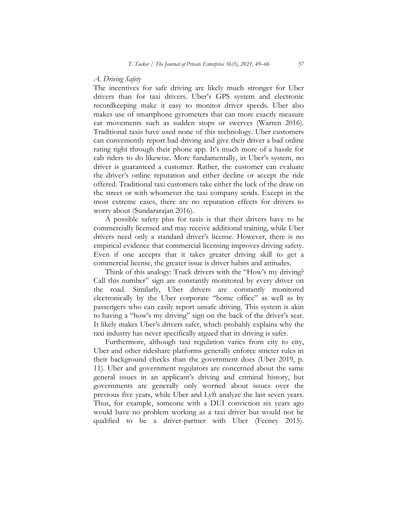#### A. Driving Safety

The incentives for safe driving are likely much stronger for Uber drivers than for taxi drivers. Uber's GPS system and electronic recordkeeping make it easy to monitor driver speeds. Uber also makes use of smartphone gyrometers that can more exactly measure car movements such as sudden stops or swerves (Warren 2016). Traditional taxis have used none of this technology. Uber customers can conveniently report bad driving and give their driver a bad online rating right through their phone app. It's much more of a hassle for cab riders to do likewise. More fundamentally, in Uber's system, no driver is guaranteed a customer. Rather, the customer can evaluate the driver's online reputation and either decline or accept the ride offered. Traditional taxi customers take either the luck of the draw on the street or with whomever the taxi company sends. Except in the most extreme cases, there are no reputation effects for drivers to worry about (Sundararajan 2016).

A possible safety plus for taxis is that their drivers have to be commercially licensed and may receive additional training, while Uber drivers need only a standard driver's license. However, there is no empirical evidence that commercial licensing improves driving safety. Even if one accepts that it takes greater driving skill to get a commercial license, the greater issue is driver habits and attitudes.

Think of this analogy: Truck drivers with the "How's my driving? Call this number" sign are constantly monitored by every driver on the road. Similarly, Uber drivers are constantly monitored electronically by the Uber corporate "home office" as well as by passengers who can easily report unsafe driving. This system is akin to having a "how's my driving" sign on the back of the driver's seat. It likely makes Uber's drivers safer, which probably explains why the taxi industry has never specifically argued that its driving is safer.

Furthermore, although taxi regulation varies from city to city, Uber and other rideshare platforms generally enforce stricter rules in their background checks than the government does (Uber 2019, p. 11). Uber and government regulators are concerned about the same general issues in an applicant's driving and criminal history, but governments are generally only worried about issues over the previous five years, while Uber and Lyft analyze the last seven years. Thus, for example, someone with a DUI conviction six years ago would have no problem working as a taxi driver but would not be qualified to be a driver-partner with Uber (Feeney 2015).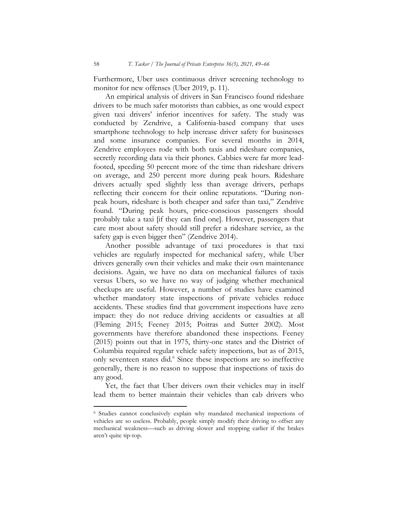Furthermore, Uber uses continuous driver screening technology to monitor for new offenses (Uber 2019, p. 11).

An empirical analysis of drivers in San Francisco found rideshare drivers to be much safer motorists than cabbies, as one would expect given taxi drivers' inferior incentives for safety. The study was conducted by Zendrive, a California-based company that uses smartphone technology to help increase driver safety for businesses and some insurance companies. For several months in 2014, Zendrive employees rode with both taxis and rideshare companies, secretly recording data via their phones. Cabbies were far more leadfooted, speeding 50 percent more of the time than rideshare drivers on average, and 250 percent more during peak hours. Rideshare drivers actually sped slightly less than average drivers, perhaps reflecting their concern for their online reputations. "During nonpeak hours, rideshare is both cheaper and safer than taxi," Zendrive found. "During peak hours, price-conscious passengers should probably take a taxi [if they can find one]. However, passengers that care most about safety should still prefer a rideshare service, as the safety gap is even bigger then" (Zendrive 2014).

Another possible advantage of taxi procedures is that taxi vehicles are regularly inspected for mechanical safety, while Uber drivers generally own their vehicles and make their own maintenance decisions. Again, we have no data on mechanical failures of taxis versus Ubers, so we have no way of judging whether mechanical checkups are useful. However, a number of studies have examined whether mandatory state inspections of private vehicles reduce accidents. These studies find that government inspections have zero impact: they do not reduce driving accidents or casualties at all (Fleming 2015; Feeney 2015; Poitras and Sutter 2002). Most governments have therefore abandoned these inspections. Feeney (2015) points out that in 1975, thirty-one states and the District of Columbia required regular vehicle safety inspections, but as of 2015, only seventeen states did.<sup>6</sup> Since these inspections are so ineffective generally, there is no reason to suppose that inspections of taxis do any good.

Yet, the fact that Uber drivers own their vehicles may in itself lead them to better maintain their vehicles than cab drivers who

<sup>6</sup> Studies cannot conclusively explain why mandated mechanical inspections of vehicles are so useless. Probably, people simply modify their driving to offset any mechanical weakness—such as driving slower and stopping earlier if the brakes aren't quite tip-top.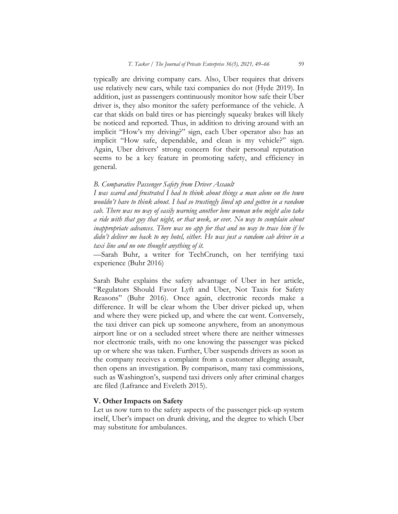typically are driving company cars. Also, Uber requires that drivers use relatively new cars, while taxi companies do not (Hyde 2019). In addition, just as passengers continuously monitor how safe their Uber driver is, they also monitor the safety performance of the vehicle. A car that skids on bald tires or has piercingly squeaky brakes will likely be noticed and reported. Thus, in addition to driving around with an implicit "How's my driving?" sign, each Uber operator also has an implicit "How safe, dependable, and clean is my vehicle?" sign. Again, Uber drivers' strong concern for their personal reputation seems to be a key feature in promoting safety, and efficiency in general.

#### B. Comparative Passenger Safety from Driver Assault

I was scared and frustrated I had to think about things a man alone on the town wouldn't have to think about. I had so trustingly lined up and gotten in a random cab. There was no way of easily warning another lone woman who might also take a ride with that guy that night, or that week, or ever. No way to complain about inappropriate advances. There was no app for that and no way to trace him if he didn't deliver me back to my hotel, either. He was just a random cab driver in a taxi line and no one thought anything of it.

—Sarah Buhr, a writer for TechCrunch, on her terrifying taxi experience (Buhr 2016)

Sarah Buhr explains the safety advantage of Uber in her article, "Regulators Should Favor Lyft and Uber, Not Taxis for Safety Reasons" (Buhr 2016). Once again, electronic records make a difference. It will be clear whom the Uber driver picked up, when and where they were picked up, and where the car went. Conversely, the taxi driver can pick up someone anywhere, from an anonymous airport line or on a secluded street where there are neither witnesses nor electronic trails, with no one knowing the passenger was picked up or where she was taken. Further, Uber suspends drivers as soon as the company receives a complaint from a customer alleging assault, then opens an investigation. By comparison, many taxi commissions, such as Washington's, suspend taxi drivers only after criminal charges are filed (Lafrance and Eveleth 2015).

#### V. Other Impacts on Safety

Let us now turn to the safety aspects of the passenger pick-up system itself, Uber's impact on drunk driving, and the degree to which Uber may substitute for ambulances.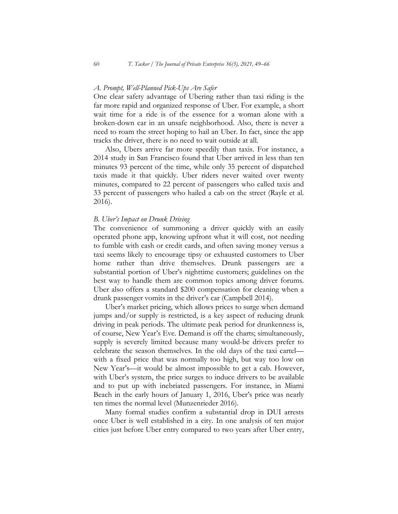#### A. Prompt, Well-Planned Pick-Ups Are Safer

One clear safety advantage of Ubering rather than taxi riding is the far more rapid and organized response of Uber. For example, a short wait time for a ride is of the essence for a woman alone with a broken-down car in an unsafe neighborhood. Also, there is never a need to roam the street hoping to hail an Uber. In fact, since the app tracks the driver, there is no need to wait outside at all.

Also, Ubers arrive far more speedily than taxis. For instance, a 2014 study in San Francisco found that Uber arrived in less than ten minutes 93 percent of the time, while only 35 percent of dispatched taxis made it that quickly. Uber riders never waited over twenty minutes, compared to 22 percent of passengers who called taxis and 33 percent of passengers who hailed a cab on the street (Rayle et al. 2016).

#### B. Uber's Impact on Drunk Driving

The convenience of summoning a driver quickly with an easily operated phone app, knowing upfront what it will cost, not needing to fumble with cash or credit cards, and often saving money versus a taxi seems likely to encourage tipsy or exhausted customers to Uber home rather than drive themselves. Drunk passengers are a substantial portion of Uber's nighttime customers; guidelines on the best way to handle them are common topics among driver forums. Uber also offers a standard \$200 compensation for cleaning when a drunk passenger vomits in the driver's car (Campbell 2014).

Uber's market pricing, which allows prices to surge when demand jumps and/or supply is restricted, is a key aspect of reducing drunk driving in peak periods. The ultimate peak period for drunkenness is, of course, New Year's Eve. Demand is off the charts; simultaneously, supply is severely limited because many would-be drivers prefer to celebrate the season themselves. In the old days of the taxi cartel with a fixed price that was normally too high, but way too low on New Year's—it would be almost impossible to get a cab. However, with Uber's system, the price surges to induce drivers to be available and to put up with inebriated passengers. For instance, in Miami Beach in the early hours of January 1, 2016, Uber's price was nearly ten times the normal level (Munzenrieder 2016).

Many formal studies confirm a substantial drop in DUI arrests once Uber is well established in a city. In one analysis of ten major cities just before Uber entry compared to two years after Uber entry,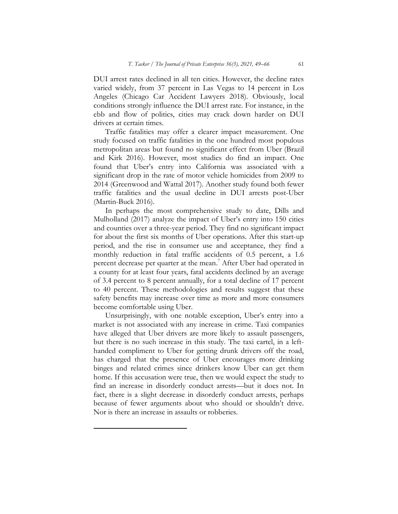DUI arrest rates declined in all ten cities. However, the decline rates varied widely, from 37 percent in Las Vegas to 14 percent in Los Angeles (Chicago Car Accident Lawyers 2018). Obviously, local conditions strongly influence the DUI arrest rate. For instance, in the ebb and flow of politics, cities may crack down harder on DUI drivers at certain times.

Traffic fatalities may offer a clearer impact measurement. One study focused on traffic fatalities in the one hundred most populous metropolitan areas but found no significant effect from Uber (Brazil and Kirk 2016). However, most studies do find an impact. One found that Uber's entry into California was associated with a significant drop in the rate of motor vehicle homicides from 2009 to 2014 (Greenwood and Wattal 2017). Another study found both fewer traffic fatalities and the usual decline in DUI arrests post-Uber (Martin-Buck 2016).

In perhaps the most comprehensive study to date, Dills and Mulholland (2017) analyze the impact of Uber's entry into 150 cities and counties over a three-year period. They find no significant impact for about the first six months of Uber operations. After this start-up period, and the rise in consumer use and acceptance, they find a monthly reduction in fatal traffic accidents of 0.5 percent, a 1.6 percent decrease per quarter at the mean.<sup>7</sup> After Uber had operated in a county for at least four years, fatal accidents declined by an average of 3.4 percent to 8 percent annually, for a total decline of 17 percent to 40 percent. These methodologies and results suggest that these safety benefits may increase over time as more and more consumers become comfortable using Uber.

Unsurprisingly, with one notable exception, Uber's entry into a market is not associated with any increase in crime. Taxi companies have alleged that Uber drivers are more likely to assault passengers, but there is no such increase in this study. The taxi cartel, in a lefthanded compliment to Uber for getting drunk drivers off the road, has charged that the presence of Uber encourages more drinking binges and related crimes since drinkers know Uber can get them home. If this accusation were true, then we would expect the study to find an increase in disorderly conduct arrests—but it does not. In fact, there is a slight decrease in disorderly conduct arrests, perhaps because of fewer arguments about who should or shouldn't drive. Nor is there an increase in assaults or robberies.

 $\overline{a}$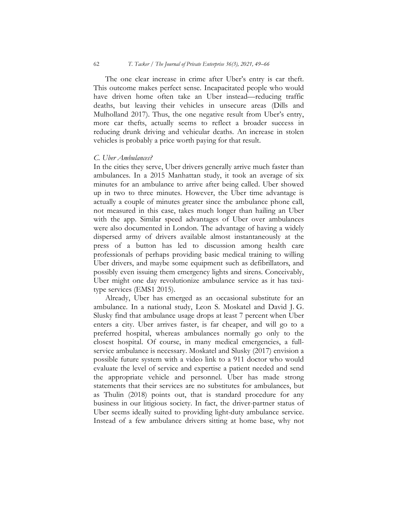The one clear increase in crime after Uber's entry is car theft. This outcome makes perfect sense. Incapacitated people who would have driven home often take an Uber instead—reducing traffic deaths, but leaving their vehicles in unsecure areas (Dills and Mulholland 2017). Thus, the one negative result from Uber's entry, more car thefts, actually seems to reflect a broader success in reducing drunk driving and vehicular deaths. An increase in stolen vehicles is probably a price worth paying for that result.

#### C. Uber Ambulances?

In the cities they serve, Uber drivers generally arrive much faster than ambulances. In a 2015 Manhattan study, it took an average of six minutes for an ambulance to arrive after being called. Uber showed up in two to three minutes. However, the Uber time advantage is actually a couple of minutes greater since the ambulance phone call, not measured in this case, takes much longer than hailing an Uber with the app. Similar speed advantages of Uber over ambulances were also documented in London. The advantage of having a widely dispersed army of drivers available almost instantaneously at the press of a button has led to discussion among health care professionals of perhaps providing basic medical training to willing Uber drivers, and maybe some equipment such as defibrillators, and possibly even issuing them emergency lights and sirens. Conceivably, Uber might one day revolutionize ambulance service as it has taxitype services (EMS1 2015).

Already, Uber has emerged as an occasional substitute for an ambulance. In a national study, Leon S. Moskatel and David J. G. Slusky find that ambulance usage drops at least 7 percent when Uber enters a city. Uber arrives faster, is far cheaper, and will go to a preferred hospital, whereas ambulances normally go only to the closest hospital. Of course, in many medical emergencies, a fullservice ambulance is necessary. Moskatel and Slusky (2017) envision a possible future system with a video link to a 911 doctor who would evaluate the level of service and expertise a patient needed and send the appropriate vehicle and personnel. Uber has made strong statements that their services are no substitutes for ambulances, but as Thulin (2018) points out, that is standard procedure for any business in our litigious society. In fact, the driver-partner status of Uber seems ideally suited to providing light-duty ambulance service. Instead of a few ambulance drivers sitting at home base, why not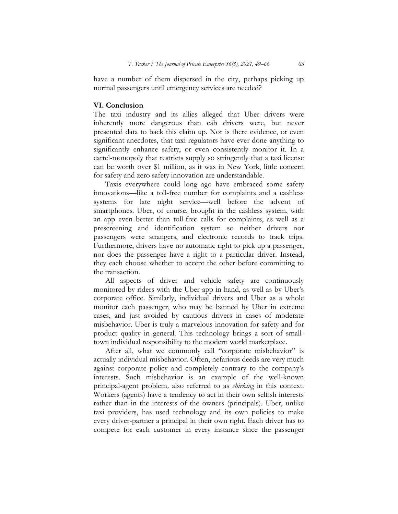have a number of them dispersed in the city, perhaps picking up normal passengers until emergency services are needed?

### VI. Conclusion

The taxi industry and its allies alleged that Uber drivers were inherently more dangerous than cab drivers were, but never presented data to back this claim up. Nor is there evidence, or even significant anecdotes, that taxi regulators have ever done anything to significantly enhance safety, or even consistently monitor it. In a cartel-monopoly that restricts supply so stringently that a taxi license can be worth over \$1 million, as it was in New York, little concern for safety and zero safety innovation are understandable.

Taxis everywhere could long ago have embraced some safety innovations—like a toll-free number for complaints and a cashless systems for late night service—well before the advent of smartphones. Uber, of course, brought in the cashless system, with an app even better than toll-free calls for complaints, as well as a prescreening and identification system so neither drivers nor passengers were strangers, and electronic records to track trips. Furthermore, drivers have no automatic right to pick up a passenger, nor does the passenger have a right to a particular driver. Instead, they each choose whether to accept the other before committing to the transaction.

All aspects of driver and vehicle safety are continuously monitored by riders with the Uber app in hand, as well as by Uber's corporate office. Similarly, individual drivers and Uber as a whole monitor each passenger, who may be banned by Uber in extreme cases, and just avoided by cautious drivers in cases of moderate misbehavior. Uber is truly a marvelous innovation for safety and for product quality in general. This technology brings a sort of smalltown individual responsibility to the modern world marketplace.

After all, what we commonly call "corporate misbehavior" is actually individual misbehavior. Often, nefarious deeds are very much against corporate policy and completely contrary to the company's interests. Such misbehavior is an example of the well-known principal-agent problem, also referred to as shirking in this context. Workers (agents) have a tendency to act in their own selfish interests rather than in the interests of the owners (principals). Uber, unlike taxi providers, has used technology and its own policies to make every driver-partner a principal in their own right. Each driver has to compete for each customer in every instance since the passenger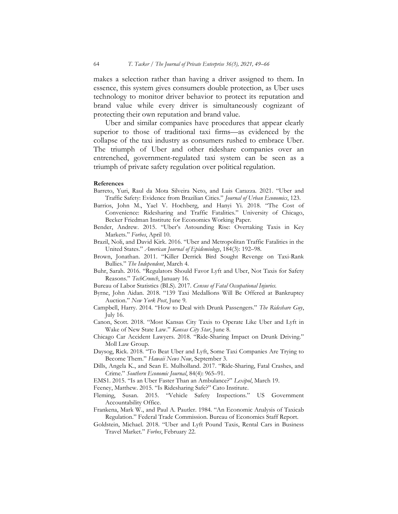makes a selection rather than having a driver assigned to them. In essence, this system gives consumers double protection, as Uber uses technology to monitor driver behavior to protect its reputation and brand value while every driver is simultaneously cognizant of protecting their own reputation and brand value.

Uber and similar companies have procedures that appear clearly superior to those of traditional taxi firms—as evidenced by the collapse of the taxi industry as consumers rushed to embrace Uber. The triumph of Uber and other rideshare companies over an entrenched, government-regulated taxi system can be seen as a triumph of private safety regulation over political regulation.

#### References

- Barreto, Yuri, Raul da Mota Silveira Neto, and Luis Carazza. 2021. "Uber and Traffic Safety: Evidence from Brazilian Cities." Journal of Urban Economics, 123.
- Barrios, John M., Yael V. Hochberg, and Hanyi Yi. 2018. "The Cost of Convenience: Ridesharing and Traffic Fatalities." University of Chicago, Becker Friedman Institute for Economics Working Paper.
- Bender, Andrew. 2015. "Uber's Astounding Rise: Overtaking Taxis in Key Markets." Forbes, April 10.
- Brazil, Noli, and David Kirk. 2016. "Uber and Metropolitan Traffic Fatalities in the United States." American Journal of Epidemiology, 184(3): 192–98.
- Brown, Jonathan. 2011. "Killer Derrick Bird Sought Revenge on Taxi-Rank Bullies." The Independent, March 4.
- Buhr, Sarah. 2016. "Regulators Should Favor Lyft and Uber, Not Taxis for Safety Reasons." TechCrunch, January 16.
- Bureau of Labor Statistics (BLS). 2017. Census of Fatal Occupational Injuries.
- Byrne, John Aidan. 2018. "139 Taxi Medallions Will Be Offered at Bankruptcy Auction." New York Post, June 9.
- Campbell, Harry. 2014. "How to Deal with Drunk Passengers." The Rideshare Guy, July 16.
- Canon, Scott. 2018. "Most Kansas City Taxis to Operate Like Uber and Lyft in Wake of New State Law." Kansas City Star, June 8.
- Chicago Car Accident Lawyers. 2018. "Ride-Sharing Impact on Drunk Driving." Moll Law Group.
- Daysog, Rick. 2018. "To Beat Uber and Lyft, Some Taxi Companies Are Trying to Become Them." Hawaii News Now, September 3.
- Dills, Angela K., and Sean E. Mulholland. 2017. "Ride-Sharing, Fatal Crashes, and Crime." Southern Economic Journal, 84(4): 965-91.
- EMS1. 2015. "Is an Uber Faster Than an Ambulance?" Lexipol, March 19.
- Feeney, Matthew. 2015. "Is Ridesharing Safe?" Cato Institute.
- Fleming, Susan. 2015. "Vehicle Safety Inspections." US Government Accountability Office.
- Frankena, Mark W., and Paul A. Pautler. 1984. "An Economic Analysis of Taxicab Regulation." Federal Trade Commission. Bureau of Economics Staff Report.
- Goldstein, Michael. 2018. "Uber and Lyft Pound Taxis, Rental Cars in Business Travel Market." Forbes, February 22.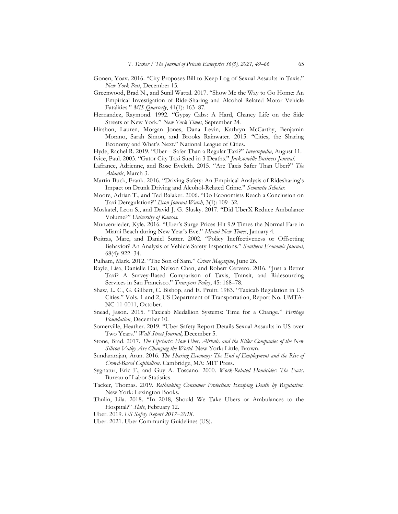- Gonen, Yoav. 2016. "City Proposes Bill to Keep Log of Sexual Assaults in Taxis." New York Post, December 15.
- Greenwood, Brad N., and Sunil Wattal. 2017. "Show Me the Way to Go Home: An Empirical Investigation of Ride-Sharing and Alcohol Related Motor Vehicle Fatalities." MIS Quarterly, 41(1): 163-87.
- Hernandez, Raymond. 1992. "Gypsy Cabs: A Hard, Chancy Life on the Side Streets of New York." New York Times, September 24.
- Hirshon, Lauren, Morgan Jones, Dana Levin, Kathryn McCarthy, Benjamin Morano, Sarah Simon, and Brooks Rainwater. 2015. "Cities, the Sharing Economy and What's Next." National League of Cities.
- Hyde, Rachel R. 2019. "Uber-Safer Than a Regular Taxi?" Investopedia, August 11.
- Ivice, Paul. 2003. "Gator City Taxi Sued in 3 Deaths." Jacksonville Business Journal.
- Lafrance, Adrienne, and Rose Eveleth. 2015. "Are Taxis Safer Than Uber?" The Atlantic, March 3.
- Martin-Buck, Frank. 2016. "Driving Safety: An Empirical Analysis of Ridesharing's Impact on Drunk Driving and Alcohol-Related Crime." Semantic Scholar.
- Moore, Adrian T., and Ted Balaker. 2006. "Do Economists Reach a Conclusion on Taxi Deregulation?" Econ Journal Watch, 3(1): 109-32.
- Moskatel, Leon S., and David J. G. Slusky. 2017. "Did UberX Reduce Ambulance Volume?" University of Kansas.
- Munzenrieder, Kyle. 2016. "Uber's Surge Prices Hit 9.9 Times the Normal Fare in Miami Beach during New Year's Eve." Miami New Times, January 4.
- Poitras, Marc, and Daniel Sutter. 2002. "Policy Ineffectiveness or Offsetting Behavior? An Analysis of Vehicle Safety Inspections." Southern Economic Journal, 68(4): 922–34.
- Pulham, Mark. 2012. "The Son of Sam." Crime Magazine, June 26.
- Rayle, Lisa, Danielle Dai, Nelson Chan, and Robert Cervero. 2016. "Just a Better Taxi? A Survey-Based Comparison of Taxis, Transit, and Ridesourcing Services in San Francisco." Transport Policy, 45: 168-78.
- Shaw, L. C., G. Gilbert, C. Bishop, and E. Pruitt. 1983. "Taxicab Regulation in US Cities." Vols. 1 and 2, US Department of Transportation, Report No. UMTA-NC-11-0011, October.
- Snead, Jason. 2015. "Taxicab Medallion Systems: Time for a Change." Heritage Foundation, December 10.
- Somerville, Heather. 2019. "Uber Safety Report Details Sexual Assaults in US over Two Years." Wall Street Journal, December 5.
- Stone, Brad. 2017. The Upstarts: How Uber, Airbnb, and the Killer Companies of the New Silicon Valley Are Changing the World. New York: Little, Brown.
- Sundararajan, Arun. 2016. The Sharing Economy: The End of Employment and the Rise of Crowd-Based Capitalism. Cambridge, MA: MIT Press.
- Sygnatur, Eric F., and Guy A. Toscano. 2000. Work-Related Homicides: The Facts. Bureau of Labor Statistics.
- Tacker, Thomas. 2019. Rethinking Consumer Protection: Escaping Death by Regulation. New York: Lexington Books.
- Thulin, Lila. 2018. "In 2018, Should We Take Ubers or Ambulances to the Hospital?" Slate, February 12.
- Uber. 2019. US Safety Report 2017–2018.
- Uber. 2021. Uber Community Guidelines (US).